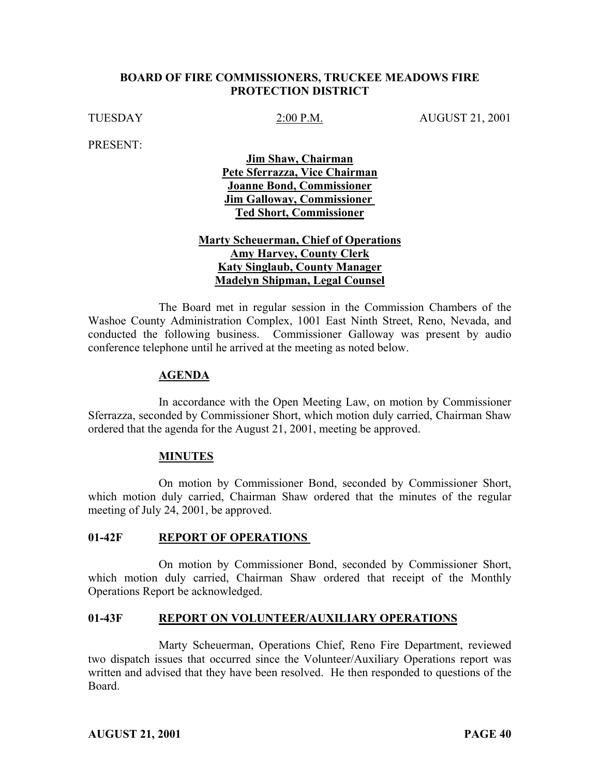## **BOARD OF FIRE COMMISSIONERS, TRUCKEE MEADOWS FIRE PROTECTION DISTRICT**

TUESDAY 2:00 P.M. AUGUST 21, 2001

PRESENT:

**Jim Shaw, Chairman Pete Sferrazza, Vice Chairman Joanne Bond, Commissioner Jim Galloway, Commissioner Ted Short, Commissioner**

# **Marty Scheuerman, Chief of Operations Amy Harvey, County Clerk Katy Singlaub, County Manager Madelyn Shipman, Legal Counsel**

The Board met in regular session in the Commission Chambers of the Washoe County Administration Complex, 1001 East Ninth Street, Reno, Nevada, and conducted the following business. Commissioner Galloway was present by audio conference telephone until he arrived at the meeting as noted below.

#### **AGENDA**

In accordance with the Open Meeting Law, on motion by Commissioner Sferrazza, seconded by Commissioner Short, which motion duly carried, Chairman Shaw ordered that the agenda for the August 21, 2001, meeting be approved.

## **MINUTES**

On motion by Commissioner Bond, seconded by Commissioner Short, which motion duly carried, Chairman Shaw ordered that the minutes of the regular meeting of July 24, 2001, be approved.

## 01-42F REPORT OF OPERATIONS

On motion by Commissioner Bond, seconded by Commissioner Short, which motion duly carried, Chairman Shaw ordered that receipt of the Monthly Operations Report be acknowledged.

#### **01-43F REPORT ON VOLUNTEER/AUXILIARY OPERATIONS**

Marty Scheuerman, Operations Chief, Reno Fire Department, reviewed two dispatch issues that occurred since the Volunteer/Auxiliary Operations report was written and advised that they have been resolved. He then responded to questions of the Board.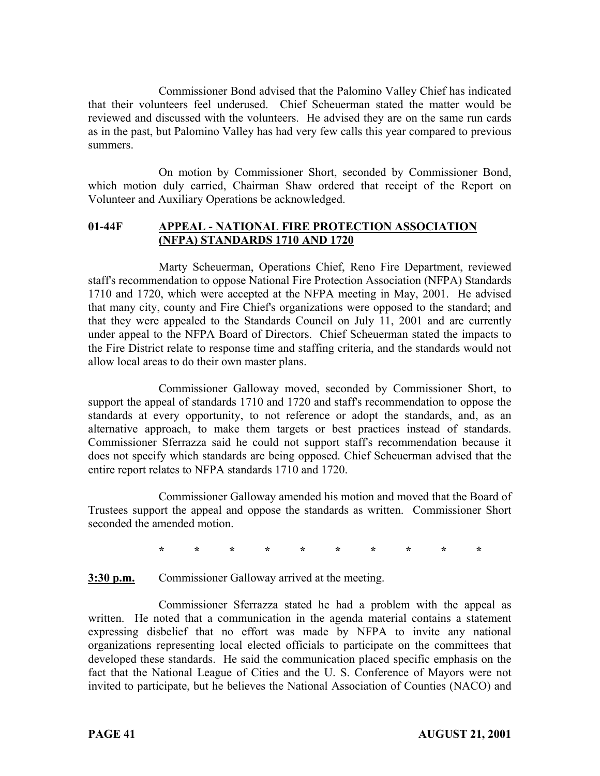Commissioner Bond advised that the Palomino Valley Chief has indicated that their volunteers feel underused. Chief Scheuerman stated the matter would be reviewed and discussed with the volunteers. He advised they are on the same run cards as in the past, but Palomino Valley has had very few calls this year compared to previous summers.

On motion by Commissioner Short, seconded by Commissioner Bond, which motion duly carried, Chairman Shaw ordered that receipt of the Report on Volunteer and Auxiliary Operations be acknowledged.

## **01-44F APPEAL - NATIONAL FIRE PROTECTION ASSOCIATION (NFPA) STANDARDS 1710 AND 1720**

Marty Scheuerman, Operations Chief, Reno Fire Department, reviewed staff's recommendation to oppose National Fire Protection Association (NFPA) Standards 1710 and 1720, which were accepted at the NFPA meeting in May, 2001. He advised that many city, county and Fire Chief's organizations were opposed to the standard; and that they were appealed to the Standards Council on July 11, 2001 and are currently under appeal to the NFPA Board of Directors. Chief Scheuerman stated the impacts to the Fire District relate to response time and staffing criteria, and the standards would not allow local areas to do their own master plans.

Commissioner Galloway moved, seconded by Commissioner Short, to support the appeal of standards 1710 and 1720 and staff's recommendation to oppose the standards at every opportunity, to not reference or adopt the standards, and, as an alternative approach, to make them targets or best practices instead of standards. Commissioner Sferrazza said he could not support staff's recommendation because it does not specify which standards are being opposed. Chief Scheuerman advised that the entire report relates to NFPA standards 1710 and 1720.

Commissioner Galloway amended his motion and moved that the Board of Trustees support the appeal and oppose the standards as written. Commissioner Short seconded the amended motion.

**\*\*\*\*\*\*\*\*\*\***

**3:30 p.m.** Commissioner Galloway arrived at the meeting.

Commissioner Sferrazza stated he had a problem with the appeal as written. He noted that a communication in the agenda material contains a statement expressing disbelief that no effort was made by NFPA to invite any national organizations representing local elected officials to participate on the committees that developed these standards. He said the communication placed specific emphasis on the fact that the National League of Cities and the U. S. Conference of Mayors were not invited to participate, but he believes the National Association of Counties (NACO) and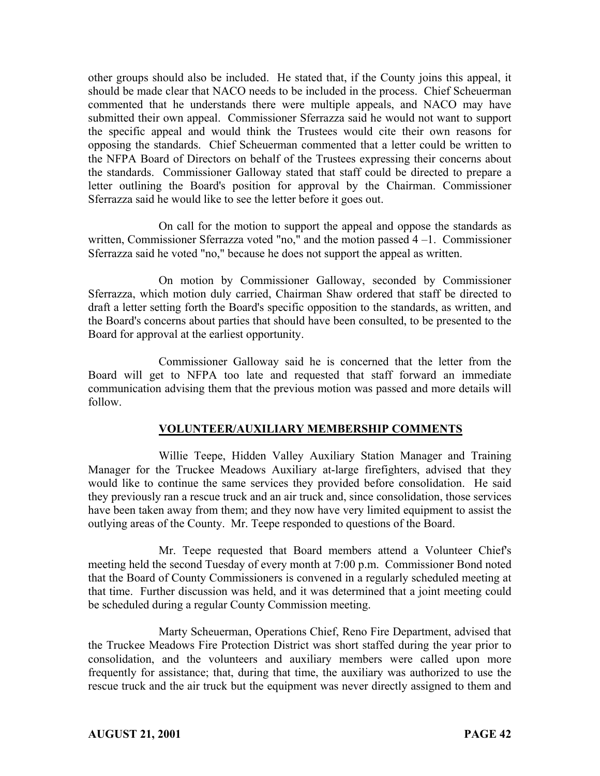other groups should also be included. He stated that, if the County joins this appeal, it should be made clear that NACO needs to be included in the process. Chief Scheuerman commented that he understands there were multiple appeals, and NACO may have submitted their own appeal. Commissioner Sferrazza said he would not want to support the specific appeal and would think the Trustees would cite their own reasons for opposing the standards. Chief Scheuerman commented that a letter could be written to the NFPA Board of Directors on behalf of the Trustees expressing their concerns about the standards. Commissioner Galloway stated that staff could be directed to prepare a letter outlining the Board's position for approval by the Chairman. Commissioner Sferrazza said he would like to see the letter before it goes out.

On call for the motion to support the appeal and oppose the standards as written, Commissioner Sferrazza voted "no," and the motion passed 4 –1. Commissioner Sferrazza said he voted "no," because he does not support the appeal as written.

On motion by Commissioner Galloway, seconded by Commissioner Sferrazza, which motion duly carried, Chairman Shaw ordered that staff be directed to draft a letter setting forth the Board's specific opposition to the standards, as written, and the Board's concerns about parties that should have been consulted, to be presented to the Board for approval at the earliest opportunity.

Commissioner Galloway said he is concerned that the letter from the Board will get to NFPA too late and requested that staff forward an immediate communication advising them that the previous motion was passed and more details will follow.

## **VOLUNTEER/AUXILIARY MEMBERSHIP COMMENTS**

Willie Teepe, Hidden Valley Auxiliary Station Manager and Training Manager for the Truckee Meadows Auxiliary at-large firefighters, advised that they would like to continue the same services they provided before consolidation. He said they previously ran a rescue truck and an air truck and, since consolidation, those services have been taken away from them; and they now have very limited equipment to assist the outlying areas of the County. Mr. Teepe responded to questions of the Board.

Mr. Teepe requested that Board members attend a Volunteer Chief's meeting held the second Tuesday of every month at 7:00 p.m. Commissioner Bond noted that the Board of County Commissioners is convened in a regularly scheduled meeting at that time. Further discussion was held, and it was determined that a joint meeting could be scheduled during a regular County Commission meeting.

Marty Scheuerman, Operations Chief, Reno Fire Department, advised that the Truckee Meadows Fire Protection District was short staffed during the year prior to consolidation, and the volunteers and auxiliary members were called upon more frequently for assistance; that, during that time, the auxiliary was authorized to use the rescue truck and the air truck but the equipment was never directly assigned to them and